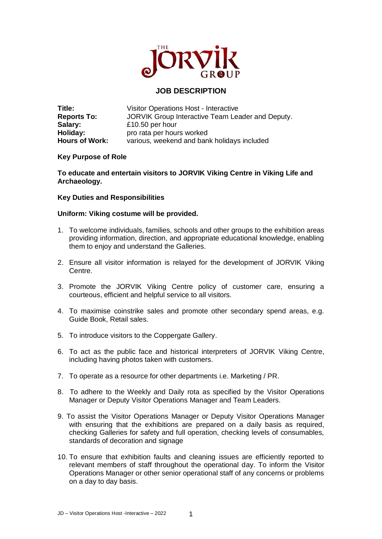

## **JOB DESCRIPTION**

| Title:                | Visitor Operations Host - Interactive            |
|-----------------------|--------------------------------------------------|
| <b>Reports To:</b>    | JORVIK Group Interactive Team Leader and Deputy. |
| Salary:               | £10.50 per hour                                  |
| Holiday:              | pro rata per hours worked                        |
| <b>Hours of Work:</b> | various, weekend and bank holidays included      |

## **Key Purpose of Role**

**To educate and entertain visitors to JORVIK Viking Centre in Viking Life and Archaeology.**

## **Key Duties and Responsibilities**

## **Uniform: Viking costume will be provided.**

- 1. To welcome individuals, families, schools and other groups to the exhibition areas providing information, direction, and appropriate educational knowledge, enabling them to enjoy and understand the Galleries.
- 2. Ensure all visitor information is relayed for the development of JORVIK Viking Centre.
- 3. Promote the JORVIK Viking Centre policy of customer care, ensuring a courteous, efficient and helpful service to all visitors.
- 4. To maximise coinstrike sales and promote other secondary spend areas, e.g. Guide Book, Retail sales.
- 5. To introduce visitors to the Coppergate Gallery.
- 6. To act as the public face and historical interpreters of JORVIK Viking Centre, including having photos taken with customers.
- 7. To operate as a resource for other departments i.e. Marketing / PR.
- 8. To adhere to the Weekly and Daily rota as specified by the Visitor Operations Manager or Deputy Visitor Operations Manager and Team Leaders.
- 9. To assist the Visitor Operations Manager or Deputy Visitor Operations Manager with ensuring that the exhibitions are prepared on a daily basis as required, checking Galleries for safety and full operation, checking levels of consumables, standards of decoration and signage
- 10. To ensure that exhibition faults and cleaning issues are efficiently reported to relevant members of staff throughout the operational day. To inform the Visitor Operations Manager or other senior operational staff of any concerns or problems on a day to day basis.